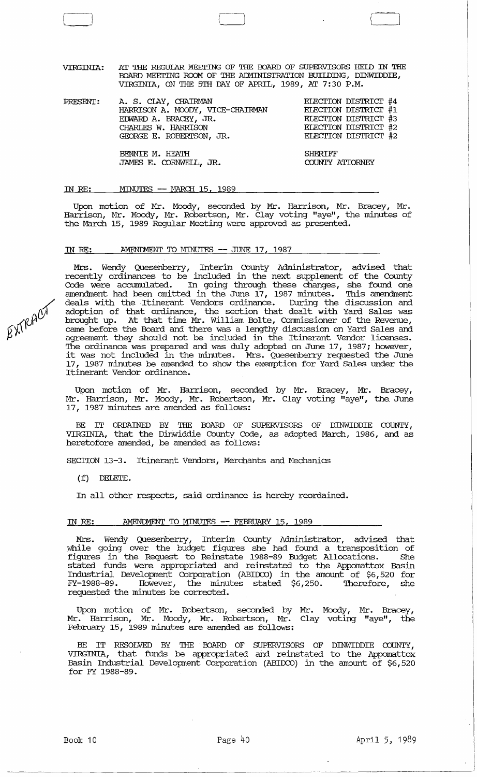VIRGINIA: AT THE REGUIAR MEEI'ING OF THE BOARD OF SUPERVISORS HElD IN THE BOARD MEETING ROOM OF THE ADMINISTRATION BUILDING, DINWIDDIE, VIRGINIA, ON THE 5TH DAY OF APRIL, 1989, AT 7: 30 P.M.

| PRESENT: | A. S. CLAY, CHAIRMAN<br>HARRISON A. MOODY, VICE-CHAIRMAN<br>EDWARD A. BRACEY, JR.<br>CHARLES W. HARRISON<br>GEORGE E. ROBERTSON, JR. | ELECTION DISTRICT #4<br>ELECTION DISTRICT #1<br>ELECTION DISTRICT #3<br>ELECTION DISTRICT #2<br>ELECTION DISTRICT #2 |
|----------|--------------------------------------------------------------------------------------------------------------------------------------|----------------------------------------------------------------------------------------------------------------------|
|          | BENNIE M. HEATH<br>JAMES E. CORNWELL, JR.                                                                                            | <b>SHERTFF</b><br>COUNTY ATTORNEY                                                                                    |

#### IN RE: MINUTES -- MARCH 15, 1989

 $\Box$ 

Upon motion of Mr. Moody, seconded by Mr. Harrison, Mr. Bracey, Mr. Harrison, Mr. Moody, Mr. Robertson, Mr. Clay voting "aye", the minutes of the March 15, 1989 Regular Meeting were approved as presented.

### IN RE: AMENDMENT TO MINUTES -- JUNE 17, 1987

Mrs. Wendy Quesenberry, Interim County Administrator, advised that recently ordinances to be included in the next supplement of the County Code were accumulated. In going through these changes, she found one amendment had been omitted in the June 17, 1987 minutes. This amendment deals with the Itinerant Vendors ordinance. During the discussion and adoption of that ordinance, the section that dealt with Yard Sales was brought up. At that time Mr. William Bolte, Commissioner of the Revenue, came before the Board and there was a lengthy discussion on Yard Sales and agreement they should not be included in the Itinerant Vendor licenses. The ordinance was prepared and was duly adopted on June 17, 1987; however, it was not included in the minutes. Mrs. Quesenberry requested the June 17, 1987 minutes be amended to show the exemption for Yard Sales under the Itinerant Vendor ordinance.

Upon motion of Mr. Harrison, seconded by Mr. Bracey, Mr. Bracey, Mr. Harrison, Mr. Moody, Mr. Robertson, Mr. Clay voting "aye", the. June 17, 1987 minutes are amended as follows:

BE IT ORDAINED BY THE BOARD OF SUPERVISORS OF DINWIDDIE COUNTY, VIRGINIA, that the Dinwiddie County Code, as adopted March, 1986, and as heretofore amended, be amended as follows:

SEcrION 13-3. Itinerant Vendors, Merchants and Mechanics

(f) DELETE.

In all other respects, said ordinance is hereby reordained.

# IN RE: AMENDMENT TO MINUTES -- FEBRUARY 15, 1989

Mrs. Wendy Quesenberry, Interim County Administrator, advised that while going over the budget figures she had found a transposition of figures in the Request to Reinstate 1988-89 Budget Allocations. She stated funds were appropriated and reinstated to the Appomattox Basin Industrial Development Corporation (ABIDCO) in the amount of \$6,520 for FY-1988-89. However, the minutes stated \$6,250. Therefore, she requested the minutes be corrected.

Upon motion of Mr. Robertson, seconded by Mr. Moody, Mr. Bracey, Mr. Harrison, Mr. Moody, Mr. Robertson, Mr. Clay voting "aye", the February 15, 1989 minutes are amended as follows:

BE IT RESOLVED BY THE BOARD OF SUPERVISORS OF DINWIDDIE COUNTY, VIRGINIA, that funds be appropriated and reinstated to the Appomattox Basin Industrial Development Corporation (ABIDCO) in the amount of \$6,520 for FY 1988-89.

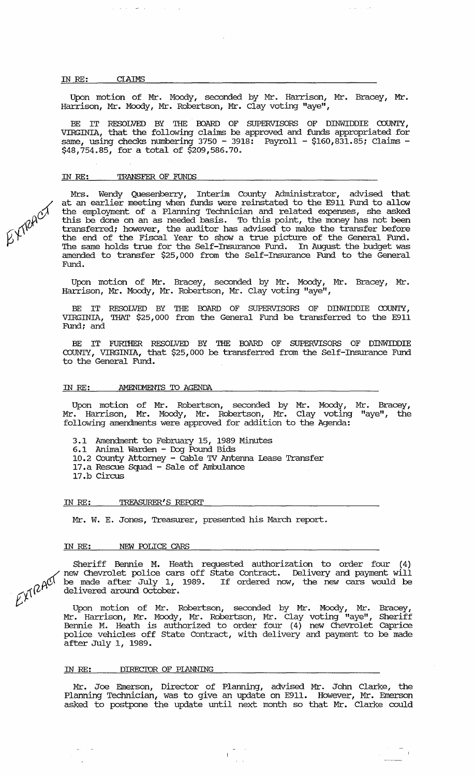#### IN *RE:* CIAIMS

Upon motion of Mr. Moody, seconded by Mr. Harrison, Mr. Bracey, Mr. Harrison, Mr. Moody, Mr. Robertson, Mr. Clay voting "aye",

 $\sim$   $\sim$ 

BE IT RESOLVED BY THE BOARD OF SUPERVISORS OF DINWIDDIE COUNTY,<br>VIRGINIA, that the following claims be approved and funds appropriated for same, using checks numbering 3750 - 3918: Payroll - \$160,831.85; Claims  $\cdot$ \$48,754.85, for a total of \$209,586.70.

### IN RE: TRANSFER OF FUNDS

الوالي المستورين

Mrs. Wendy Quesenberry, Interim County Administrator, advised that at an earlier meeting when funds were reinstated to the E911 Fund to allow the employment of a Planning Technician and related expenses, she asked this be done on an as needed basis. To this point, the money has not been transferred; however, the auditor has advised to make the transfer before the end of the Fiscal Year to show a true picture of the General Fund. The same holds true for the Self-Insurance Fund. In August the budget was amended to transfer \$25, 000 from the Self-Insurance Fund to the General Fund.

Upon motion of Mr. Bracey, seconded by Mr. Moody, Mr. Bracey, Mr. Harrison, Mr. Moody, Mr. Robertson, Mr. Clay voting "aye",

BE IT RESOLVED BY THE BOARD OF SUPERVISORS OF DINWIDDIE COUNTY, VIRGINIA, THAT \$25, 000 from the General Fund be transferred to the E911 Fund; and

BE IT FURIHER RESOLVED BY THE OOARD OF SUPERVISORS OF DINWIDDIE COUNTY, VIRGINIA, that \$25, 000 be transferred from the Self-Insurance Fund to the General Fund.

### IN RE: AMENDMENTS TO AGENDA

Upon motion of Mr. Robertson, seconded by Mr. Moody, Mr. Bracey, Mr. Harrison, Mr. Moody, Mr. Robertson, Mr. Clay voting "aye", the following amendments were approved for addition to the Agenda:

- 3 .1 Amendment to February 15, 1989 Minutes
- 6.1 Animal Warden Dog Pound Bids
- 10.2 County Attorney cable 'IV Antenna lease Transfer
- 17. a Rescue Squad Sale of Ambulance
- 17.b Circus

#### IN *RE:* TREASURER'S REroRI'

Mr. W. E. Jones, Treasurer, presented his March report.

#### IN RE: **NEW POLICE CARS**

Sheriff Bennie M. Heath requested authorization to order four (4)<br>
/ new Chevrolet police cars off State Contract. Delivery and payment will  $\mathcal{M}^{\mathcal{M}}$  be made after July 1, 1989. If ordered now, the new cars would be delivered around October. delivered around **October**.

 $\not\!\!\!\!\downarrow^{\prime}$  Upon motion of Mr. Robertson, seconded by Mr. Moody, Mr. Bracey, Mr. Harrison, Mr. Moody, Mr. Robertson, Mr. Clay voting "aye", Sheriff Bennie M. Heath is authorized to order four ( 4) new Chevrolet caprice police vehicles off State Contract, with delivery and payment to be made after July I, 1989.

### IN *RE:* DIREC'IOR OF PLANNING

Mr. Joe Emerson, Director of Planning, advised Mr. John Clarke, the Planning Technician, was to give an update on E911. However, Mr. Emerson asked to postpone the update until next month so that Mr. Clarke could

 $EY^{\prime}$ RACT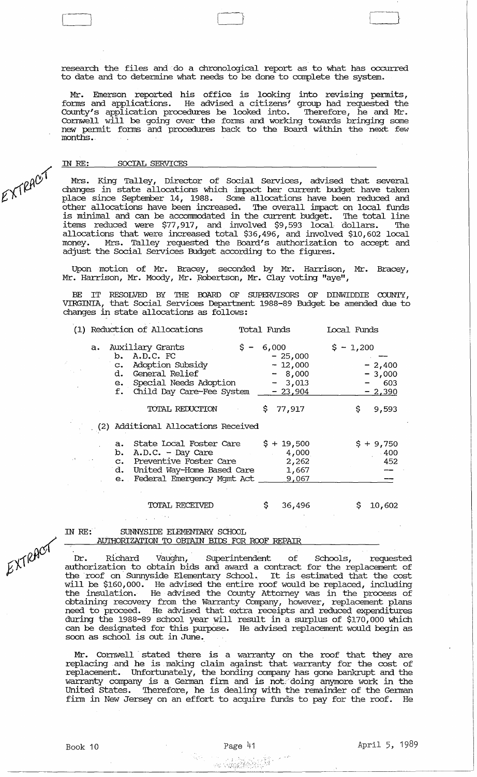research the files and do a chronological report as to what has occurred to date and to detennine what needs to be done to complete the system.

Mr. Emerson reported his office is looking into revising pennits, forms and applications. He advised a citizens' group had requested the County's application procedures be looked into. Therefore, he and Mr. Cornwell will be going over the forms and working towards bringing some new permit forms and procedures back to the Board within the next few months ..

### IN RE: SOCIAL SERVICES

[~

Mrs. King Talley, Director of Social services, advised that several changes in state allocations which impact her current budget have taken place since September 14, 1988. Some allocations have been reduced and other allocations have been increased. The overall impact on local funds is minimal and can be accommodated in the current budget. The total line items reduced were \$77,917, and involved \$9,593 local dollars. The allocations that were increased total \$36,496, and involved \$10,602 local money. Mrs. Talley requested the Board's authorization to accept and adjust the Social Services Budget according to the figures.

Upon motion of Mr. Bracey, seconded by Mr. Harrison, Mr. Bracey, Mr. Harrison, Mr. Moody, Mr. Robertson, Mr. Clay voting "aye",

BE IT RESOLVED BY THE BOARD OF SUPERVISORS OF DINWIDDIE COUNTY, VIRGINIA, that Social Services Department 1988-89 Budget be amended due to changes in state allocations as follows:

| (1) Reduction of Allocations     |                                                                                                                                                                              | Total Funds |                                                               | Local Funds           |                                         |
|----------------------------------|------------------------------------------------------------------------------------------------------------------------------------------------------------------------------|-------------|---------------------------------------------------------------|-----------------------|-----------------------------------------|
| f.                               | a. Auxiliary Grants<br>b. A.D.C. FC<br>c. Adoption Subsidy<br>d. General Relief<br>e. Special Needs Adoption<br>Child Day Care-Fee System $-23,904$                          |             | $$ - 6,000$<br>$-25,000$<br>$-12,000$<br>$-8,000$<br>$-3,013$ | $\frac{1}{2} - 1,200$ | $-2,400$<br>$-3,000$<br>603<br>$-2,390$ |
|                                  | TOTAL REDUCTION                                                                                                                                                              | \$.         | 77,917                                                        | \$                    | 9,593                                   |
|                                  | (2) Additional Allocations Received                                                                                                                                          |             |                                                               |                       |                                         |
| $a_{\bullet}$<br>$e_{\bullet}$ . | State Local Foster Care $\frac{1}{5} + \frac{19}{500}$<br>b. $A.D.C. - Day Care$<br>c. Preventive Foster Care<br>d. United Way-Home Based Care<br>Federal Emergency Mgmt Act |             | 4,000<br>2,262<br>1,667<br>9,067                              |                       | $$+9,750$<br>- 400<br>452               |
|                                  | TOTAL RECEIVED                                                                                                                                                               | \$.         | 36,496                                                        |                       | 10,602                                  |

### IN RE: SUNNYSIDE ELEMENTARY SCHOOL AUTHORIZATION TO OBTAIN BIDS FOR ROOF REPAIR

Dr. Richard Vaughn, Superintendent of Schools, requested authorization to obtain bids and award a contract for the replacement of the roof on' Sunnyside Elementary School. It is estimated that the cost will be \$160,000. He advised the entire roof would be replaced, including the insulation. He advised the County Attorney was in the process of obtaining recovery from the Warranty Company, however, replacement plans need to proceed. He advised that extra receipts and reduced expenditures during the 1988-89 school year will result in a surplus of \$170,000 which can be designated for this purpose. He advised replacement would begin as soon as school is out in June.

Mr. Cornwell stated there is a warranty on the roof that they are replacing and he is making claim against that warranty for the cost of replacement. Unfortunately, the bonding company has gone bankrupt and the warranty company is a German firm and is not:'doing anymore work in the United States. Therefore, he is dealing with the remainder of the German firm in New Jersey on an effort to acquire funds to pay for the roof. He

EXTRACT

EXTRACT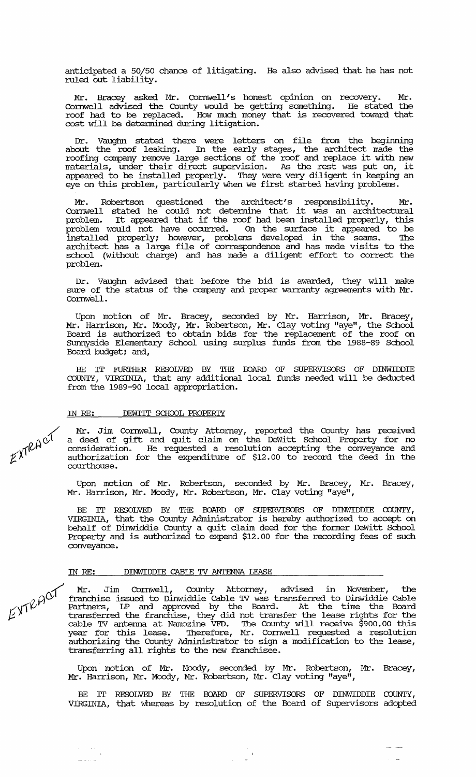anticipated a 50/50 chance of litigating. He also advised that he has not ruled out liability.

Mr. Bracey asked Mr. Cornwell's honest opinion on recovery. Mr. Cornwell advised the County would be getting something. He stated the roof had to be replaced. How much money that is recovered toward that cost will be determined during litigation.

Dr. Vaughn stated there were letters on file from the beginning about the roof leaking. In the early stages, the architect made the roofing company remove large sections of the roof and replace it with new materials, under their direct supervision. As the rest was put on, it appeared to be installed properly. 'Ihey were very diligent in keeping an eye on this problem, particularly when we first started having problems.

Mr. Robertson questioned the architect's responsibility. Mr. Cornwell stated he could not detennine that it was an architectural problem. It appeared that if the roof had been installed properly, this problem would not have occurred. On the surface it appeared to be installed properly; however, problems developed in the seams. 'Ihe architect has a large file of correspondence and has made visits to the school (without charge) and has made a diligent effort to correct the problem.

Dr. Vaughn advised that before the bid is awarded, they will make sure of the status of the company and proper warranty agreements with Mr. Cornwell.

Upon motion of Mr. Bracey, seconded by Mr. Harrison, Mr. Bracey, Mr. Harrison, Mr. Moody, Mr. Robertson, Mr. Clay voting "aye", the School Board is authorized to obtain bids for the replacement of the roof on sunnyside Elementary School using surplus funds from the 1988-89 School Board budget; and,

BE IT FURIHER RESOLVED BY THE BOARD OF SUPERVISORS OF DINWIDDIE COUNTY, VIRGINIA, that any additional local funds needed will be deducted from the 1989-90 local appropriation.

# IN RE: DEWITT SCHOOL PROPERTY

Mr. Jim Cornwell, County Attorney, reported the County has received a deed of gift and quit claim on the DeWitt School Property for no consideration. He requested a resolution accepting the conveyance and authorization for the expenditure of \$12.00 to record the deed in the courthouse.

Upon motion of Mr. Robertson, seconded by Mr. Bracey, Mr. Bracey, Mr. Harrison, Mr. Moody, Mr. Robertson, Mr. Clay voting "aye",

BE IT RESOLVED BY THE BOARD OF SUPERVISORS OF DINWIDDIE COUNTY, VIRGINIA, that the County Administrator is hereby authorized to accept on behalf of Dinwiddie County a quit claim deed for the former DeWitt School Property and is authorized to expend \$12.00 for the recording fees of such conveyance.

## IN *RE:* DINWIDDIE CABLE 'IV ANTENNA LEASE

> Mr. Jim Cornwell, County Attorney, advised in November, the  $\beta$  $\beta$ <sup> $\alpha$ </sup> franchise issued to Dinwiddie Cable TV was transferred to Dinwiddie Cable  $\sim$   $\sqrt{V}$  Partners, LP and approved by the Board. At the time the Board  $\frac{1}{2}$   $\frac{1}{2}$   $\frac{1}{2}$  transferred the franchise, they did not transfer the lease rights for the cable 'IV antenna at Namozine VFD. The County will receive \$900.00 this year for this lease. Therefore, Mr. Cornwell requested a resolution authorizing the County Administrator to sign a modification to the lease, duchorining and county numerically to bright

> Upon motion of Mr. Moody, seconded by Mr. Robertson, Mr. Bracey, Mr. Harrison, Mr. Moody, Mr. Robertson, Mr. Clay voting "aye",

> BE IT RESOLVED BY THE BOARD OF SUPERVISORS OF DINWIDDIE COUNTY, VIRGINIA, that whereas by resolution of the Board of supervisors adopted

> > $\begin{array}{c} \begin{array}{c} \text{ } \\ \text{ } \\ \text{ } \\ \text{ } \\ \end{array} \\ \begin{array}{c} \begin{array}{c} \text{ } \\ \text{ } \\ \text{ } \\ \end{array} \\ \begin{array}{c} \text{ } \\ \text{ } \\ \end{array} \end{array}$

 $\overline{\mathcal{X}}$  $K\lambda^{12}$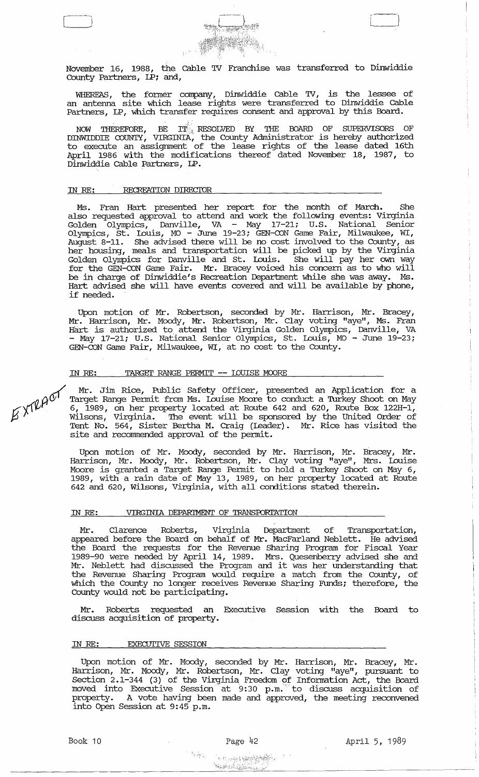

November 16, 1988, the Cable TV Franchise was transferred to Dinwiddie County Partners, LP; and,

WHEREAS, the former company, Dinwiddie cable TV, is the lessee of an antenna site which lease rights were transferred to Dinwiddie Cable Partners, LP, which transfer requires consent and approval by this Board.

NOW THEREFORE, BE IT: RESOLVED BY THE BOARD OF SUPERVISORS OF<br>DINWIDDIE COUNTY, VIRGINIA, the County Administrator is hereby authorized to execute an assignment of the lease rights of the lease dated 16th April 1986 with the modifications thereof dated November 18, 1987, to Dinwiddie cable Partners, LP.

### IN RE: RECREATION DIRECIOR

Ms. Fran Hart presented her report for the month of March. She also requested approval to attend and work the following events: Virginia Golden Olympics, Danville, VA - May 17-21; U.S. National Senior Olympics, st. louis, MO - June 19-23; GEN-CON Game Fair, Milwaukee, WI, August 8-11. She advised there will be no cost involved to the County, as her housing, meals and transportation will be picked up by the Virginia Golden Olympics for Danville and st. louis. She will pay her own way for the GEN-CON Game Fair. Mr. Bracey voiced his concern as to who will be in charge of Dinwiddie's Recreation Department while she was away. Ms. Hart advised she will have events covered and will be available by phone, if needed.

Upon motion of Mr. Robertson, seconded by Mr. Harrison, Mr. Bracey, Mr. Harrison, Mr. Moody, Mr. Robertson, Mr. Clay voting "aye", Ms. Fran Hart is authorized to attend the Virginia Golden Olympics, Danville, VA - May 17-21; U.S. National Senior Olympics, St. Louis, MO - June 19-23; GEN-CON Game Fair, Milwaukee, WI, at no cost to the County.

### IN RE: TARGET RANGE PERMIT -- LOUISE MOORE

 $\gamma'$  Mr. Jim Rice, Public Safety Officer, presented an Application for a  $p \rho O^1$  Target Range Permit from Ms. Louise Moore to conduct a Turkey Shoot on May  $\beta$   $\gamma$   $\gamma$   $\beta$ , 1989, on her property located at Route 642 and 620, Route Box 122H-1, Wilsons, Virginia. The event will be sponsored by the United Order of Tent No. 564, Sister Bertha M. Craig (leader). Mr. Rice has visited the site and recomnended approval of the permit.

> Upon motion of Mr. Moody, seconded by Mr. Harrison, Mr. Bracey, Mr. Harrison, Mr. Moody, Mr. Robertson, Mr. Clay voting "aye", Mrs. louise Moore is granted a Target Range permit to hold a Turkey Shoot on May 6, 1989, with a rain date of May 13, 1989, on her property located at Route 642 and 620, Wilsons, Virginia, with all conditions stated therein.

### IN RE: VIRGINIA DEPARTMENT OF TRANSPORTATION

Mr. Clarence Roberts, Virginia Department of Transportation, appeared before the Board on behalf of Mr. MacFarland Neblett. He advised the Board the requests for the Revenue Sharing Program for Fiscal Year 1989-90 were needed by April 14, 1989. Mrs. Quesenberry advised she and Mr. Neblett had discussed the Program and it was her understanding that the Revenue Sharing Program would require a match from the County, of which the County no longer receives Revenue Sharing Funds; therefore, the County would not be participating.

Mr. Roberts requested an Executive Session with the Board to discuss acquisition of property.

### IN RE: EXECUTIVE SESSION

Upon motion of Mr. Moody, seconded by Mr. Harrison, Mr. Bracey, Mr. Harrison, Mr. Moody, Mr. Robertson, Mr. Clay voting "aye", pursuant to Section 2.1-344 (3) of the Virginia Freedom of Information Act, the Board moved into Executive Session at 9:30 p.m. to discuss acquisition of property. A vote having been made and approved, the meeting reconvened into Open Session at 9:45 p.m.

... The set of the set of the set of  $\mathcal{L}$ 

 $\begin{picture}(20,20) \put(0,0){\line(1,0){155}} \put(15,0){\line(1,0){155}} \put(15,0){\line(1,0){155}} \put(15,0){\line(1,0){155}} \put(15,0){\line(1,0){155}} \put(15,0){\line(1,0){155}} \put(15,0){\line(1,0){155}} \put(15,0){\line(1,0){155}} \put(15,0){\line(1,0){155}} \put(15,0){\line(1,0){155}} \put(15,0){\line(1,0){155}} \$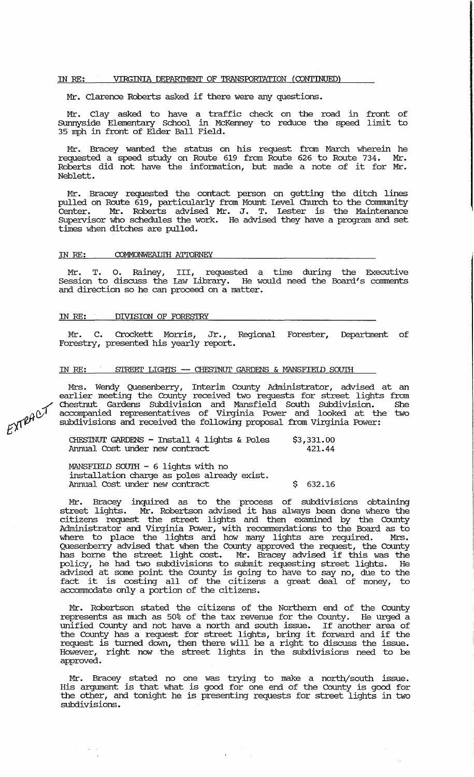### IN *RE:* VIRGINIA DEPARTMENT OF TRANSPORl'ATION (CONTINUED)

Mr. Clarence Roberts asked if there were any questions.

Mr. Clay asked to have a traffic check on the road in front of Surmyside Elementary School in McKenney to reduce the speed limit to 35 mph in front of Elder Ball Field.

Mr. Bracey wanted the status on his request from March wherein he requested a speed study on Route 619 from Route 626 to Route 734. Mr. Roberts did not have the information, but made a note of it for Mr. Neblett.

Mr. Bracey requested the contact person on getting the ditch lines pulled on Route 619, particularly from Mount level Church to the connnunity Center. Mr. Roberts advised Mr. J. T. lester is the Maintenance supervisor who schedules the work. He advised they have a program and set times when ditches are pulled.

#### IN RE: COMMONWEALTH ATTORNEY

T. O. Rainey, III, requested a time during the Executive Session to discuss the law Library. He would need the Board's comments and direction so he can proceed on a matter.

### IN *RE:* DIVISION OF FORESTRY

Mr. C. Crockett Morris, Jr., Regional Forester, Department of Forestry, presented his yearly report.

### IN *RE:* STREEI' LIGHTS **--** CHESTNUT GARDENS & MANSFIELD SOUTH

Mrs. Wendy Quesenberry, Interim County Administrator, advised at an earlier meeting the County received two requests for street lights from Chestnut Gardens SUbdivision and Mansfield South Subdivision. She accompanied representatives of Virginia Power and looked at the two subdivisions and received the following proposal from Virginia Power:

CHESTNUT GARDENS - Install 4 lights & Poles Armual Cost under new contract \$3,331.00 421.44

MANSFIELD SOUTH - 6 lights with no installation charge as poles already exist. Armual Cost under new contract \$ 632.16

Mr. Bracey inquired as to the process of subdivisions obtaining street lights. Mr. Robertson advised it has always been done where the citizens request the street lights and then examined by the County Administrator and Virginia Power, with recommendations to the Board as to where to place the lights and how many lights are required. Mrs. Quesenberry advised that when the County approved the request, the County gaesementy davised that when the county approved the request, the county has borne the street light cost. Mr. Bracey advised if this was the policy, he had two subdivisions to submit requesting street lights. He advised at some point the County is going to have to say no, due to the fact it is costing all of the citizens a great deal of money, to accommodate only a portion of the citizens.

Mr. Robertson stated the citizens of the Northern end of the County<br>ppresents as much as 50% of the tax revenue for the County. He urged a represents as much as 50% of the tax revenue for the County. unified County and not have a north and south issue. If another area of the County has a request for street lights, bring it forward and if the request is turned down, then there will be a right to discuss the issue. However, right now the street lights in the subdivisions need to be approved.

Mr. Bracey stated no one was trying to make a north/south issue. His argument is that what is good for one end of the County is good for the other, and tonight he is presenting requests for street lights in two subdivisions.

 $\mathbf{u}^{\mathrm{max}}$ 

 $\sim$  .

 $E^{\chi\tau}$ RACT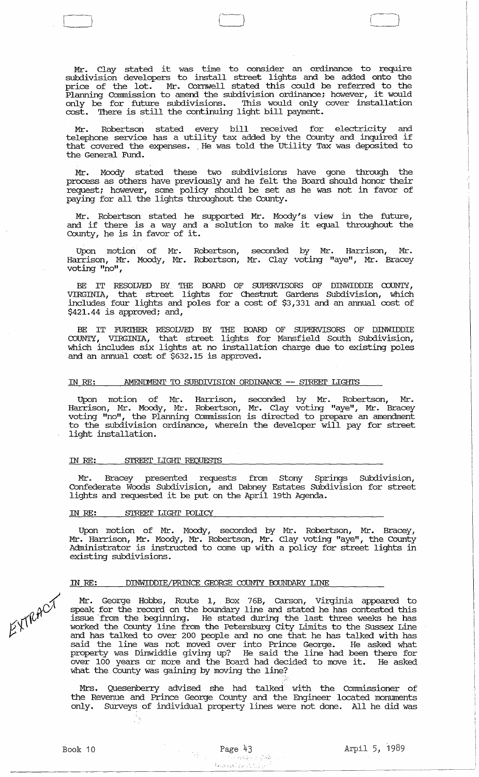Mr. Clay stated it was time to consider an ordinance to require subdivision developers to install street lights and be added onto the price of the lot. Mr. Cornwell stated this could be refexred to the Planning connnission to amend the subdivision ordinance; however, it would only be for future subdivisions. This would only cover installation cost. There is still the continuing light bill payment.

Mr. Robertson stated every bill received for electricity and FIT. RODELLSON SCALED EVERY DILI LECEIVED TON ELECTICITY and that covered the expenses. ,He was told the utility Tax was deposited to the General Fund.

Mr. Moody stated these two subdivisions have gone through the process as others have previously and he felt the Board should honor their request; however, some policy should be set as he was not in favor of paying for all the lights throughout the County.

Mr. Robertson stated he supported Mr. Moody's view in the future, and if there is a way and a solution to make it equal throughout the County, he is in favor of it.

Upon motion' of Mr. Robertson, seconded by Mr. Harrison, Mr. Harrison, Mr. Moody, Mr. Robertson, Mr. Clay voting "aye", Mr. Bracey voting "no",

BE IT RESOLVED BY, THE POARD OF SUPERVISORS OF DINWIDDIE COUNTY, VIRGINIA, that street lights for Chestnut Gardens Subdivision, which includes, four lights and poles for a cost of \$3,331 and an annual cost of \$421.44 is approved; and,

BE IT FURTHER RESOLVED BY THE BOARD OF SUPERVISORS OF DINWIDDIE COUNTY, VIRGINIA, that street lights for Mansfield South Subdivision, which includes six lights at no installation charge due to existing poles and an annual cost of \$632.15 is approved.

# IN RE: AMENDMENT TO SUBDIVISION ORDINANCE -- STREET LIGHTS

Upon motion of Mr. Harrison, seconded by Mr. Robertson, Mr. Harrison, Mr. Moody, Mr. Robertson, Mr. Clay voting "aye", Mr. Bracey voting "no", the Planning Connnission is directed to prepare an amendment to the subdivision ordinance, wherein the developer will pay for street light installation.

#### IN *RE:* STREEI' LIGHI' REQUESTS

Mr. Bracey presented requests from Stony springs Subdivision, Confederate Woods Subdivision, and Dabney Estates Subdivision for street lights and requested it be put on the April 19th Agenda.

#### IN RE: STREET LIGHT POLICY

√}

Upon motion of Mr. Moody, seconded by Mr. Robertson, Mr. Bracey, Mr. Harrison, Mr. Moody, Mr. Robertson, Mr. Clay voting "aye", the County Administrator is instructed to come up with a policy for street lights in existing subdivisions.

## IN *RE:* DINWIDDIE/PRINCE GEORGE COUNTY OOUNDARY LINE

Mr. George Hobbs, Route 1, Box 76B, Carson, Virginia appeared to speak for the record on the boundary line and stated he has contested this issue 'from the beginning. He stated during the last three weeks he has worked the County line from the, Petersburg city Limits to the Sussex Line and has talked to over 200 people and no one that he has talked with has said the line was not moved over into Prince George. He asked what property was Dinwiddie giving up? He said the line had been there for over 100 years or more and the Board had decided to move it. He asked what the County was gaining by moving the line?

Mrs. Quesenberry advised she had talked with the Commissioner of the Revenue and Prince George County and the Engineer located monuments only. SUrveys of individual property lines were not done. All he did was

EXTRACT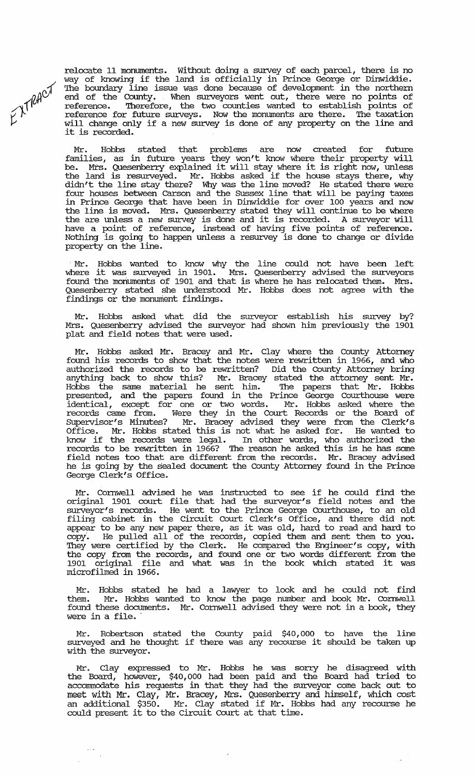relocate 11 monuments. Without doing a survey of each parcel, there is no way of knowing if the land is officially in Prince George or Dinwiddie. The boundary line issue was done because of development in the northern end of the County. When surveyors went out, there were no points of reference. 'Iherefore, the two counties wanted to establish points of reference for future surveys. Now the monuments are there. 'Ihe taxation will change only if a new survey is done of any property on the line and will change only it a new survey<br>it is recorded.

 $E^{\chi\uparrow\rho\rho\text{cV}}$ 

Mr. Hobbs stated that problems are now created for future families, as in future years they won't know where their property will be. Mrs. Quesenberry explained it will stay where it is right now, unless the land is resm:veyed. Mr. Hobbs asked if the house stays there, why didn't the line stay there? Why was the line moved? He stated there were four houses between carson and the Sussex line that will be paying taxes in Prince George that have been in Dinwiddie for over 100 years and now the line is moved. Mrs. Quesenberry stated they will continue to be where the interest moved. This, gassementy stated they will continue to be where the are unless a new survey is done and it is recorded. A surveyor will have a point of reference, instead of having five points of reference. Nothing is going to happen unless a resmvey is done to change or divide property on the line.

Mr. Hobbs wanted to know why the line could not have been left where it was surveyed in 1901. Mrs. Quesenberry advised the surveyors found the moriuments of 1901 and that is where he has relocated them. Mrs. Quesenbeny stated she understood Mr. Hobbs does not agree with the  $\tilde{f}$ indings or the monument findings.

Mr. Hobbs asked what did the surveyor establish his survey by? Mrs. Quesenberry advised the surveyor had shown him previously the 1901 plat and field notes that were used.

Mr. Hobbs asked Mr. Bracey and Mr. Clay where the County Attorney found his records to show that the notes were rewritten in 1966, and who authorized the records to be rewritten? Did the County Attorney bring anything back to show this? Mr. Bracey stated the attorney sent Mr. Hobbs the same material he sent him. 'Ihe papers that Mr. Hobbs presented, and the papers found in the Prince George Courthouse were identical, except for one or two words. Mr. Hobbs asked where the records came from. Were they in the Court Records or the Board of supervisor's Minutes? Mr. Bracey advised they were from the Clerk's Office. Mr. Hobbs stated this is not what he asked for. He wanted to know if the records were legal. In other words, who authorized the records to be rewritten in 1966? The reason he asked this is he has some field notes too that are different from the records. Mr. Bracey advised he is going by the sealed document the County Attorney found in the Prince George Clerk's Office.

Mr. Cornwell advised he was instructed to see if he could find the original 1901 court file that had the surveyor's field notes and the surveyor's records. He went to the Prince George Courthouse, to an old filing cabinet in the Circuit Court Clerk's Office, and there did not appear to be any new paper there, as it was old, hard to read and hard to copy'. He pulled all of the records, copied them and sent them to you. They were certified by the Clerk. He compared the Engineer's copy, with the copy from the records, and found one or two words different from the 1901 original file and what was in the book which stated it was microfilmed in 1966.

Mr. Hobbs stated he had a lawyer to look and he could not find them. Mr. Hobbs wanted to know the page number and book Mr. Cornwell them. Mr. Hobbs wanted to know the page number and book Mr. Cornwell<br>found these documents. Mr. Cornwell advised they were not in a book, they were in a file.

Mr. Robertson stated the County paid \$40,000 to have the line surveyed and he thought if there was any recourse it should be taken up with the surveyor.

Mr. Clay expressed to Mr. Hobbs he was sorry he disagreed with the Board, however, \$40,000 had been paid and the Board had tried to accommodate his requests in that they had the surveyor come back out to meet with Mr. Clay, Mr. Bracey, Mrs. Quesenbeny and himself, which cost meet with m. Clay, m. Elacty, ms. gatteriourly and infiectiv, which cose<br>an additional \$350. Mr. Clay stated if Mr. Hobbs had any recourse he an additional \$350. Mr. Clay stated II Mr. Hob<br>could present it to the Circuit Court at that time.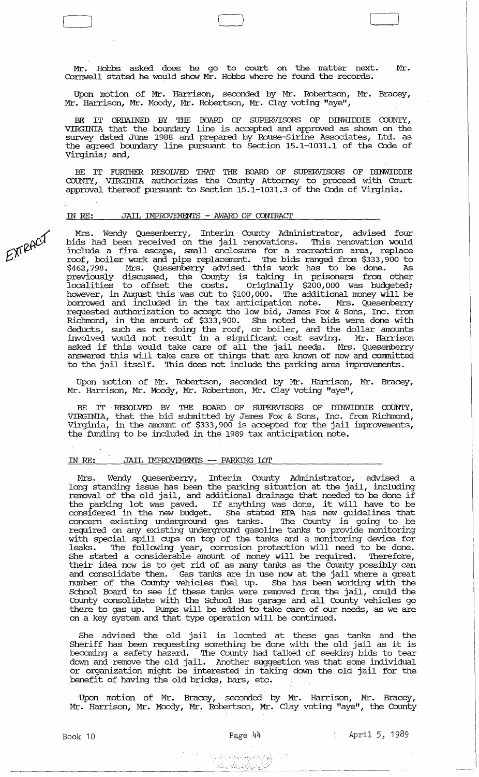Mr. Hobbs asked does he go to court on the matter next. Mr. Cornwell stated he would show Mr. Hobbs where he found the records.

 $\Box$ 

Upon motion of Mr. Harrison, seconded by Mr. Robertson, Mr. Bracey, Mr. Harrison, Mr. Moody, Mr. Robertson, Mr. Clay voting "aye",

BE IT ORDAINED BY THE BOARD OF SUPERVISORS OF DINWIDDIE COUNTY, VIRGINIA that the boundary line is accepted and approved as shown on the survey dated June 1988 and prepared by Rouse-sirine Associates, Ltd. as the agreed boundary line pursuant to section 15.1-1031.1 of the Code of Virginia; and,

BE IT FURIHER RESOLVED THAT THE BOARD OF SUPERVISORS OF DINWIDDIE COUNTY, VIRGINIA authorizes the County Attorney to proceed with Court approval thereof pursuant to Section 15.1-1031.3 of the Code of Virginia.

### IN RE: JAIL IMPROVEMENTS - AWARD OF CONTRAcr

lY1rB. Wendy Quesenberry, Interim County Administrator, advised four hids had been received on the jail renovations. This renovation would include a . fire escape, small enclosure for a recreation area, replace roof,' boiler work arid pipe replacement. 'Ibe bids ranged from \$333,900 to \$462,798. Mrs. Quesenberry advised this work has to be done. As previously discussed, the County is taking in prisoners from other localities to offset the costs. Originally \$200,000 was budgeted; however, in August this was cut to \$100,000. The additional money will be borrowed and included in the tax anticipation note. Mrs. Quesenberry requested authorization to accept the low bid, James Fox & Sons, Inc. from Richmond, in the amount of \$333,900. She noted the bids were done with deducts, such as not doing the roof, or boiler, and the dollar amounts involved would not result in a significant cost saving. Mr. Harrison modived would not result in a significant cost saving. In: natrison<br>asked if this would take care of all the jail needs. Mrs. Quesenberry answered this will take care of things that are known of now and committed to the jail itself. 'Ibis does not include the parking area improvements.

Upon motion of Mr. Robertson, seconded by Mr. Harrison, Mr. Bracey, Mr. Harrison, Mr. Moody, Mr. Robertson, Mr. Clay voting "aye",

BE IT RESOLVED BY THE BOARD OF SUPERVISORS OF DINWIDDIE COUNTY, VIRGINIA, that the bid submitted by James Fox & Sons, Inc. from Richmond, Virginia, in the amount of \$333,900 is accepted for the jail improvements, the funding to be included in the 1989 tax anticipation note.

# IN RE: JAIL IMPROVEMENTS -- PARKING LOT

Mrs. Wendy Quesenberry, Interim County Administrator, advised a long standing issue has been the parking situation at the jail, including removal of the old jail, and additional drainage that needed to be done if removar or the old jarr, and additional drainage that heeded to be done if<br>the parking lot was paved. If anything was done, it will have to be considered in the new budget. She stated EPA has new guidelines that constacted in the new sadge. She stated in has new gardenings dide required on any existing underground gasoline tanks to provide monitoring with special spill cups on top of the tanks and a monitoring device for<br>leaks. The following vear, corrosion protection will need to be done. The following year, corrosion protection will need to be done. She stated a considerable amount of money will be required. Therefore, their idea now is to get rid of as many tanks as the County possibly can and consolidate them. Gas tanks are in use now at the jail where a great number of the County vehicles fuel up. She has been working with the School Board to see if these tanks were removed from the jail, could the County consolida:te with the School Bus garage and all County vehicles go there to gas up. Pumps will be added to take care of our needs, as we are on a key system and that type operation will be continued.

She advised the old jail is located at these gas tanks and the She dovised the old jail is located at these gas tanks and the Sheriff has been requesting something be done with the old jail as it is becoming a safety hazard..'Ibe County had talked of seeking bids to tear down and remove the old jail. Another suggestion was that some individual or organization might be interested in taking down the old jail for the benefit of having the old bricks, bars, etc.

Upon motion of Mr. Bracey, seconded by Mr. Harrison, Mr. Bracey, Mr. Harrison, Mr. Moody, Mr. Robertson, Mr. Clay voting "aye", the County

EXTRACT

<,: ' <sup>~</sup>." \_\_ ~~ \_\_\_\_\_\_\_\_\_\_\_\_\_\_\_\_ .\_.~~\_. · ... \_'·\_.1":.... .• • ~'>,--,(J.r"---"",,,-,--,,\_~ *\_\_* ,\_~ *\_\_* ~ *\_\_ \_*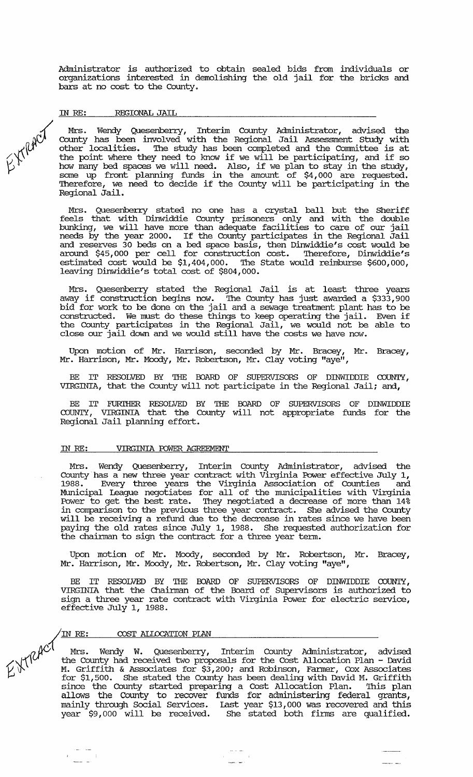Administrator is authorized to obtain sealed bids from individuals or organizations interested in demolishing the old jail for the bricks and bars at no cost to the County.

### IN *RE:* REGIONAL JAIL

EXTRACT

Mrs. Wendy Quesenberry, Interim County Administrator, advised the County has been involved with the Regional Jail Assessment study with other localities. The study has been completed and the Corrrrnittee is at the point where they need to know if we will be participating, and if so how many bed spaces we will need. Also, if we plan to stay in the study, some up front planning funds in the amount of \$4,000 are requested. Therefore, we need to decide if the County will be participating in the Regional Jail.

Mrs. Quesenberry stated no one has a crystal ball but the Sheriff feels that with Dinwiddie County prisoners only and with the double bunking, we will have more than adequate facilities to care of our jail needs by the year 2000. If the County participates in the Regional Jail and reserves 30 beds on a bed space basis, then Dinwiddie's cost would be around \$45,000 per cell for construction cost. Therefore, Dinwiddie's estimated cost would be  $$1,404,000$ . The State would reimburse  $$600,000$ , leaving Dinwiddie's total cost of \$804,000.

Mrs. Quesenberry stated the Regional Jail is at least three years away if construction begins now. The County has just awarded a \$333,900 bid for work to be done on the jail and a sewage treatment plant has to be constructed. We must do these things to keep operating the jail. Even if the County participates in the Regional Jail, we would not be able to close our jail down and we would still have the costs we have now.

Upon motion of Mr. Harrison, seconded by Mr. Bracey, Mr. Bracey, Mr. Harrison, Mr. Moody, Mr. Robertson, Mr. Clay voting "aye",

BE IT RESOLVED BY THE BOARD OF SUPERVISORS OF DINWIDDIE COUNTY, VIRGINIA, that the County will not participate in the Regional Jail; and,

BE IT FURl'HER RESOLVED BY THE BOARD OF SUPERVISORS OF DINWIDDIE COUNTY, VIRGINIA that the County will not appropriate funds for the Regional Jail planning effort.

#### IN *RE:* VIRGINIA roWER AGREEMENT

Mrs. Wendy Quesenberry, Interim County Administrator, advised the County has a new three year contract with Virginia Power effective July 1, 1988. Every three years the Virginia Association of Counties and Mlmicipal League negotiates for all of the municipalities with Virginia Power to get the best rate. They negotiated a decrease of more than 14% in comparison to the previous three year contract. She advised the County will be receiving a refund due to the decrease in rates since we have been paying the old rates since July 1, 1988. She requested authorization for the chainnan to sign the contract for a three year tenn.

Upon motion of Mr. Moody, seconded by Mr. Robertson, Mr. Bracey, Mr. Harrison, Mr. Moody, Mr. Robertson, Mr. Clay voting "aye",

BE IT RESOLVED BY THE BOARD OF SUPERVISORS OF DINWIDDIE COUNTY, VIRGINIA that the Chairman of the Board of Supervisors is authorized to sign a three year rate contract with Virginia Power for electric service, effective July 1, 1988.

### COST ALLOCATION PIAN

Europe The Res. Mrs. Wendy W. Quesenberry, Interim County Administrator, advised the County had received two proposals for the Cost Allocation Plan - David *\J* \J'. M. Griffith & Associates for \$3,200; and Robinson, Fanner, Cox Associates I: The stated the County has been dealing with David M. Griffith since the County started preparing a Cost Allocation Plan. This plan allows the County to recover funds for administering federal grants, mainly through Social Services. Last year \$13,000 was recovered and this year \$9,000 will be received. She stated both finns are qualified.

 $\sim$   $-$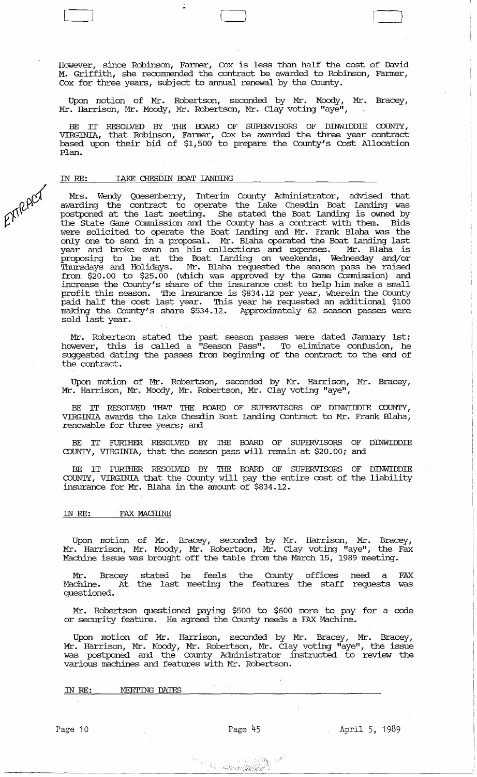However, since Robinson, Fanner, Cox is less than half the cost of David M. Griffith, she recommended the contract be awarded to Robinson, Farmer, Cox for three years, subject to annual renewal by the County.

 $\begin{pmatrix} 1 & 1 \\ 1 & 1 \end{pmatrix}$ 

Upon motion of Mr. Robertson, seconded by Mr. Moody, Mr. Bracey, Mr. Harrison, Mr. Moody, Mr. Robertson, Mr. Clay voting "aye",

BE IT RESOLVED BY THE BOARD OF SUPERVISORS OF DINWIDDIE COUNTY, VIRGINIA, that Robinson, Farmer, Cox be awarded the three year contract based upon their bid of \$1,500 to prepare the County's Cost Allocation Plan.

### IN RE: **LAKE CHESDIN BOAT LANDING**

EXTRACT

Mrs. Wendy Quesenberry, Interim County Administrator, advised that awarding the contract to operate the lake Chesdin Boat landing was postponed at the last meeting. She stated the Boat landing is owned by the state Game Commission and the County has a contract with them. Bids were solicited to operate the Boat landing and Mr. Frank Blaha was the only one to send in a proposal. Mr. Blaha operated the Boat landing last year and broke even on his collections and expenses. Mr. Blaha is proposing to be at the Boat landing on weekends, Wednesday and/or Thursdays and Holidays. Mr. Blaha requested the season pass be raised from \$20.00 to \$25.00 (which was approved by the Game Commission) and increase the County's share of the insurance cost to help him make a small profit this season. The insurance is \$834.12 per year, wherein the County paid half the cost last year. This year he requested an additional \$100 making the County's share \$534.12. Approximately 62 season passes were making the County's share \$534.12. Approximately 62 season passes were sold last year.

Mr. Robertson stated the past season passes were dated January 1st; however, this is called a "Season Pass". To eliminate confusion, he suggested dating the passes from beginning of the contract to the end of the contract.

Upon motion of Mr. Robertson, seconded by Mr. Harrison, Mr. Bracey, Mr. Harrison, Mr. Moody, Mr. Robertson, Mr. Clay voting "aye",

BE IT RESOLVED THAT THE BOARD OF SUPERVISORS OF DINWIDDIE COUNTY, VIRGINIA awards the lake Chesdin Boat Landing Contract to Mr. Frank Blaha, renewable for three years; and

IT FURIHER RESOLVED BY THE BOARD OF SUPERVISORS OF DINWIDDIE COUNTY, VIRGINIA, that the season pass will remain at \$20.00; and

BE IT FURI'HER RESOLVED BY THE BOARD OF SUPERVISORS OF DINWIDDIE COUNTY, VIRGINIA that the County will pay the entire cost of the liability insurance for Mr. Blaha in the amount of \$834.12.

# IN RE: FAX MACHINE

Upon motion of Mr. Bracey, seconded by Mr. Harrison, Mr. Bracey, Mr. Harrison, Mr. Moody, Mr. Robertson, Mr. Clay voting "aye", the Fax Machine issue was brought off the table from the March 15, 1989 meeting.

Mr. Bracey stated he feels the County offices need a FAX Machine. At the last meeting the features the staff requests was questioned.

Mr. Robertson questioned paying \$500 to \$600 more to pay for a code or security feature. He agreed the County needs a FAX Machine.

Upon motion of Mr. Harrison, seconded by Mr. Bracey, Mr. Bracey, Mr. Harrison, Mr. Moody, Mr. Robertson, Mr. Clay voting "aye", the issue was postponed and the County Administrator instructed to review the various machines and features with Mr. Robertson.

#### IN RE: MEETING DATES

 $\lceil \cdot \cdot \cdot \cdot \rceil \cdot \lceil \cdot \cdot \cdot \rceil \cdot \lceil \cdot \cdot \cdot \rceil \cdot \lceil \cdot \cdot \cdot \rceil \cdot \lceil \cdot \cdot \rceil \cdot \lceil \cdot \cdot \rceil \cdot \lceil \cdot \cdot \rceil \cdot \lceil \cdot \cdot \rceil \cdot \lceil \cdot \cdot \rceil \cdot \lceil \cdot \cdot \rceil \cdot \lceil \cdot \cdot \rceil \cdot \lceil \cdot \cdot \rceil \cdot \lceil \cdot \cdot \rceil \cdot \lceil \cdot \cdot \rceil \cdot \lceil \cdot \cdot \rceil \cdot \lceil \cdot \cdot \rceil \cdot \lceil \cdot \cdot \rceil \cdot \lceil \cdot \$ 

 $\epsilon_{\alpha}$  is  $\alpha_{\beta}$  .

April 5, 1989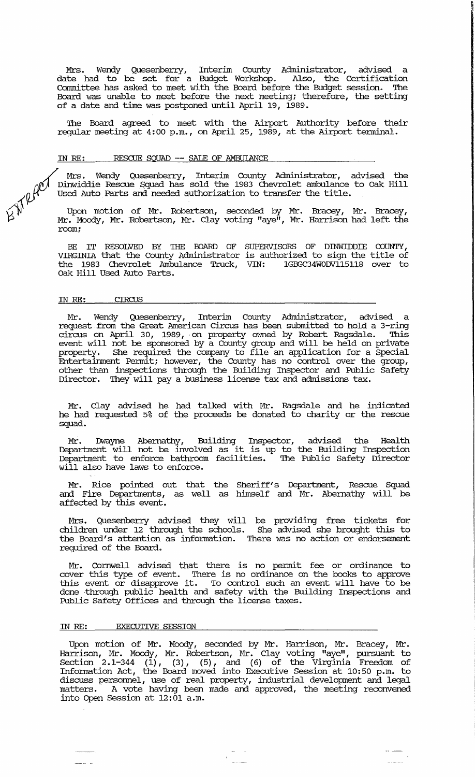Mrs. Wendy Quesenberry, Interint County Administrator, advised a date had to be set for a Budget Workshop. Also, the Certification Committee has asked to meet with the Board before the Budget session. The Board was unable to meet before the next meeting; therefore, the setting of a date and time was postponed until April 19, 1989.

~

The Board agreed to meet with the Airport Authority before their regular meeting at 4:00 p.m., on April 25, 1989, at the Airport terminal.

#### IN *RE:* RESCUE SQUAD -- SAlE OF AMBUIANCE

Mrs. Wendy Quesenberry, Interim County Administrator, advised the Dinwiddie Rescue Squad has sold the 1983 Chevrolet ambulance to Oak Hill Example 2011 We used Auto Parts and needed authorization to transfer the title.<br>We used Auto Parts and needed authorization to transfer the title.<br>We upon motion of Mr. Robertscom

 $\text{W}$  Upon motion of Mr. Robertson, seconded by Mr. Bracey, Mr. Bracey,  $\beta$  Mr. Moody, Mr. Robertson, Mr. Clay voting "aye", Mr. Harrison had left the room;

> BE IT RESOLVED BY THE BOARD OF SUPERVISORS OF DINWIDDIE COUNTY, VIRGINIA that the County Administrator is authorized to sign the title of the 1983 Chevrolet Ambulance Truck, VIN: Oak Hill Used Auto Parts.

#### IN RE: CIRCUS

Mr. Wendy Quesenberry, Interint County Administrator, advised a request from the Great American Circus has been submitted to hold a 3-ring circus on April 30, 1989,· on property owned by Robert Ragsdale. 'Ihis event will not be sponsored by a County group and will be held on private property. She required the company to file an application for a Special Entertainment permit i however, the County has no control over the group, other than inspections through the Building Inspector and Public Safety Director. They will pay a business license tax and admissions tax.

Mr. Clay advised he had talked with Mr. Ragsdale and he indicated he had requested 5% of the proceeds be donated to charity or the rescue squad.

Mr. Dwayne Abernathy, Building Inspector, advised the Health Department will not be involved as it is up to the Building Inspection Department to enforce bathroom facilities. The Public Safety Director will also have laws to enforce.

Mr. Rice pointed out that the Sheriff's Department, Rescue Squad and Fire Departments, as well as himself and Mr. Abernathy will be affected by this event.

Mrs. Quesenberry advised they will be providing free tickets for children under 12 through the schools. She advised she brought this to the Board's attention as information. There was no action or endorsement required of the Board.

Mr. Cornwell advised that there is no permit fee or ordinance to cover this type of event. There is no ordinance on the books to approve this event or disapprove it. To control such an event will have to be done through public health and safety with the Building Inspections and Public Safety Offices and through the license taxes.

#### IN *RE:* EXECUTIVE SESSION

Upon motion of Mr. Moody, seconded by Mr. Harrison, Mr. Bracey, Mr. Harrison, Mr. Moody, Mr. Robertson, Mr. Clay voting "aye", pursuant to Section  $2.1-344$   $(1)$ ,  $(3)$ ,  $(5)$ , and  $(6)$  of the Virginia Freedom of Information Act, the Board moved into Executive Session at 10:50 p.m. to discuss personnel, use of real property, industrial development and legal matters. A vote having been made and approved, the meeting reconvened into Open Session at 12:01 a.m.

 $\bar{\mathbf{r}}$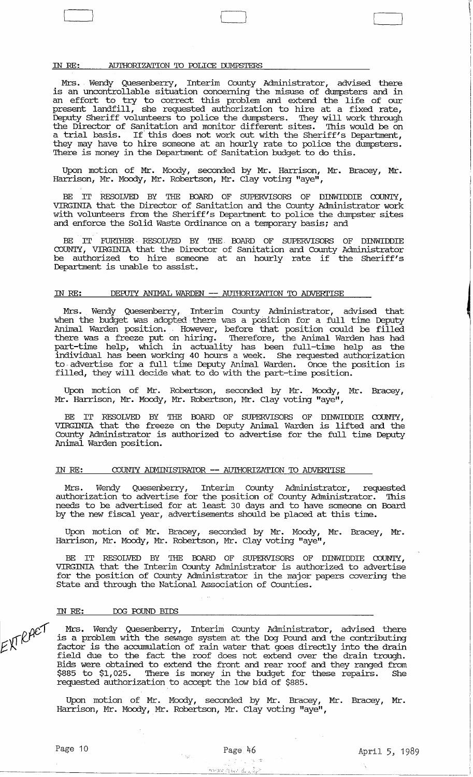### IN RE: AUTHORIZATION TO POLICE DUMPSTERS

Mrs. Wendy Quesenberry, Interim County Administrator, advised there is an uncontrollable situation concerning the misuse of dumpsters and in an effort to try to correct this problem and extend the life of our present landfill, she requested authorization to hire at a fixed rate, Deputy Sheriff volunteers to police the dumpsters. They will work through the Director of Sanitation and monitor different sites. This would be on a trial basis. If this does not work out with the Sheriff's Department, they may have to hire someone at an hourly rate to police the dumpsters. There is money in the Department of Sanitation budget to do this.

Upon motion of Mr. Moody, seconded by Mr. Harrison, Mr. Bracey, Mr. Harrison, Mr. Moody, Mr. Robertson, Mr. Clay voting "aye",

IT RESOLVED BY THE BOARD OF SUPERVISORS OF DINWIDDIE COUNTY, VIRGINIA that the Director of Sanitation and the County Administrator work with volunteers from the Sheriff's Department to police the dumpster sites and enforce the Solid Waste Ordinance on a temporary basis; and

BE IT FURTHER RESOLVED BY THE BOARD OF SUPERVISORS OF DINWIDDIE COUNTY, VIRGINIA that the Director of Sanitation and County Administrator be authorized to hire someone at an hourly rate if the Sheriff's Department is unable to assist.

# IN RE: DEPUTY ANIMAL WARDEN -- AUTHORIZATION 'ID ADVERI'ISE

Mrs. Wendy Quesenberry, Interim County Administrator, advised that when the budget was adopted there was a position for a full time Deputy Animal Warden position. However, before that position could be filled there was a freeze put on hiring. Therefore, the Animal Warden has had part-time help, which in actuality has been full-time help as the individual has been working 40 hours a week. She requested authorization to -advertise for a full time Deputy Animal Warden. Once the position is filled, they will decide what to do with the part-time position.

Upon motion of Mr. Robertson, seconded by Mr. Moody, Mr. Bracey, Mr. Harrison, Mr. Moody, Mr. Robertson, Mr. Clay voting "aye",

BE IT RESOLVED BY THE BOARD OF SUPERVISORS OF DINWIDDIE COUNTY, VIRGINIA that the freeze on the Deputy Animal Warden is lifted and the County Administrator is authorized to advertise for the full time Deputy Animal Warden position.

### IN RE: COUNTY ADMINISTRATOR -- AUTHORIZATION TO ADVERTISE

Mrs. Wendy Quesenberry, Interim County Administrator, requested authorization to advertise for the position of County Administrator. This needs to be advertised for at least 30 days and to have someone on Board by the new fiscal year, advertisements should be placed at this time.

Upon motion of Mr. Bracey, seconded by Mr. Moody, Mr. Bracey, Mr. Harrison, Mr. Moody, Mr. Robertson, Mr. Clay voting "aye",

BE IT RESOLVED BY THE BOARD OF SUPERVISORS OF DINWIDDIE COUNTY, VIRGINIA that the Interim County Administrator is authorized to advertise for the position of County Administrator in the major papers covering the State and through the National Association of Counties.

### IN RE: DOG POUND BIDS

EXTRACT

Mrs. Wendy Quesenberry, Interim County Administrator, advised there is a problem with the sewage system at the Dog Pound and the contributing factor is the accumulation of rain water that goes directly into the drain field due to the fact the roof does not extend over the drain trough. Bids were obtained to extend the front and rear roof and they ranged from \$885 to \$1,025. There is money in the budget for these repairs. She requested authorization to accept the low bid of \$885.

Upon motion of Mr. Moody, seconded by Mr. Bracey, Mr. Bracey, Mr. Harrison, Mr. Moody, Mr. Robertson, Mr. Clay voting "aye",

mean plan de Lân

 $\Box$